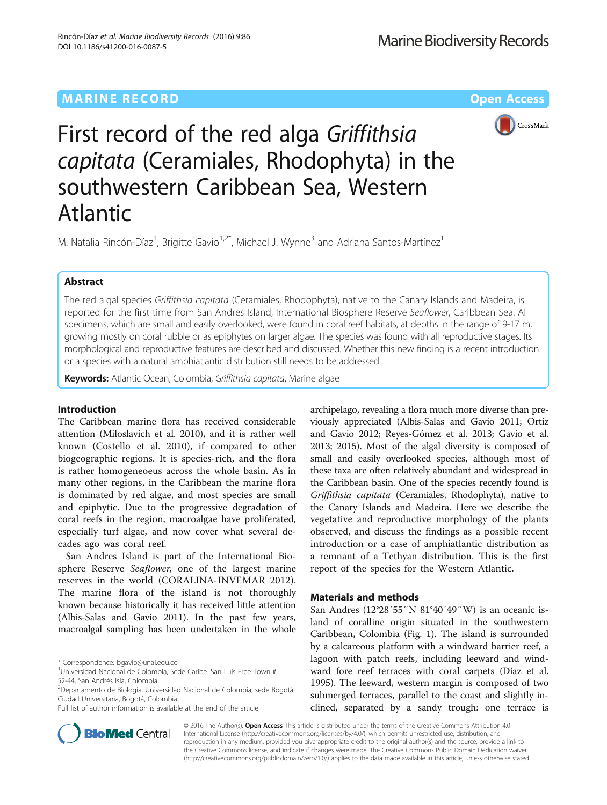# MARINE RECORD CONDUCTION CONTINUES AND ACCESS OPEN ACCESS



# First record of the red alga Griffithsia capitata (Ceramiales, Rhodophyta) in the southwestern Caribbean Sea, Western Atlantic

M. Natalia Rincón-Díaz<sup>1</sup>, Brigitte Gavio<sup>1,2\*</sup>, Michael J. Wynne<sup>3</sup> and Adriana Santos-Martínez<sup>1</sup>

## Abstract

The red algal species Griffithsia capitata (Ceramiales, Rhodophyta), native to the Canary Islands and Madeira, is reported for the first time from San Andres Island, International Biosphere Reserve Seaflower, Caribbean Sea. All specimens, which are small and easily overlooked, were found in coral reef habitats, at depths in the range of 9-17 m, growing mostly on coral rubble or as epiphytes on larger algae. The species was found with all reproductive stages. Its morphological and reproductive features are described and discussed. Whether this new finding is a recent introduction or a species with a natural amphiatlantic distribution still needs to be addressed.

Keywords: Atlantic Ocean, Colombia, Griffithsia capitata, Marine algae

## Introduction

The Caribbean marine flora has received considerable attention (Miloslavich et al. [2010](#page-4-0)), and it is rather well known (Costello et al. [2010](#page-4-0)), if compared to other biogeographic regions. It is species-rich, and the flora is rather homogeneoeus across the whole basin. As in many other regions, in the Caribbean the marine flora is dominated by red algae, and most species are small and epiphytic. Due to the progressive degradation of coral reefs in the region, macroalgae have proliferated, especially turf algae, and now cover what several decades ago was coral reef.

San Andres Island is part of the International Biosphere Reserve Seaflower, one of the largest marine reserves in the world (CORALINA-INVEMAR [2012](#page-4-0)). The marine flora of the island is not thoroughly known because historically it has received little attention (Albis-Salas and Gavio [2011\)](#page-4-0). In the past few years, macroalgal sampling has been undertaken in the whole

\* Correspondence: [bgavio@unal.edu.co](mailto:bgavio@unal.edu.co) <sup>1</sup>

archipelago, revealing a flora much more diverse than previously appreciated (Albis-Salas and Gavio [2011](#page-4-0); Ortiz and Gavio [2012](#page-4-0); Reyes-Gómez et al. [2013;](#page-4-0) Gavio et al. [2013; 2015\)](#page-4-0). Most of the algal diversity is composed of small and easily overlooked species, although most of these taxa are often relatively abundant and widespread in the Caribbean basin. One of the species recently found is Griffithsia capitata (Ceramiales, Rhodophyta), native to the Canary Islands and Madeira. Here we describe the vegetative and reproductive morphology of the plants observed, and discuss the findings as a possible recent introduction or a case of amphiatlantic distribution as a remnant of a Tethyan distribution. This is the first report of the species for the Western Atlantic.

## Materials and methods

San Andres (12°28′55″N 81°40′49″W) is an oceanic island of coralline origin situated in the southwestern Caribbean, Colombia (Fig. [1](#page-1-0)). The island is surrounded by a calcareous platform with a windward barrier reef, a lagoon with patch reefs, including leeward and windward fore reef terraces with coral carpets (Díaz et al. [1995](#page-4-0)). The leeward, western margin is composed of two submerged terraces, parallel to the coast and slightly inclined, separated by a sandy trough: one terrace is



© 2016 The Author(s). Open Access This article is distributed under the terms of the Creative Commons Attribution 4.0 International License [\(http://creativecommons.org/licenses/by/4.0/](http://creativecommons.org/licenses/by/4.0/)), which permits unrestricted use, distribution, and reproduction in any medium, provided you give appropriate credit to the original author(s) and the source, provide a link to the Creative Commons license, and indicate if changes were made. The Creative Commons Public Domain Dedication waiver [\(http://creativecommons.org/publicdomain/zero/1.0/](http://creativecommons.org/publicdomain/zero/1.0/)) applies to the data made available in this article, unless otherwise stated.

<sup>&</sup>lt;sup>1</sup>Universidad Nacional de Colombia, Sede Caribe. San Luis Free Town # 52-44, San Andrés Isla, Colombia

<sup>&</sup>lt;sup>2</sup>Departamento de Biología, Universidad Nacional de Colombia, sede Bogotá, Ciudad Universitaria, Bogotá, Colombia

Full list of author information is available at the end of the article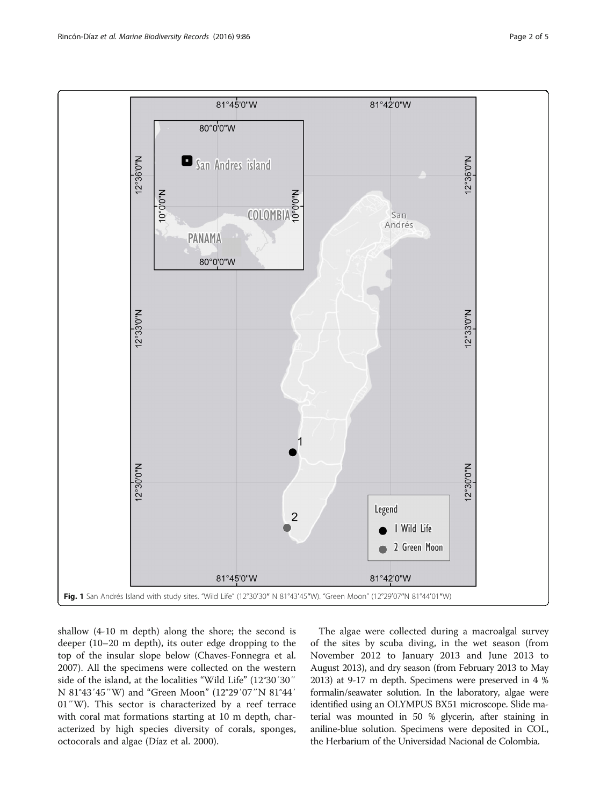<span id="page-1-0"></span>

shallow (4-10 m depth) along the shore; the second is deeper (10–20 m depth), its outer edge dropping to the top of the insular slope below (Chaves-Fonnegra et al. [2007](#page-4-0)). All the specimens were collected on the western side of the island, at the localities "Wild Life" (12°30′30″ N 81°43′45″W) and "Green Moon" (12°29′07″N 81°44′ 01″W). This sector is characterized by a reef terrace with coral mat formations starting at 10 m depth, characterized by high species diversity of corals, sponges, octocorals and algae (Díaz et al. [2000](#page-4-0)).

The algae were collected during a macroalgal survey of the sites by scuba diving, in the wet season (from November 2012 to January 2013 and June 2013 to August 2013), and dry season (from February 2013 to May 2013) at 9-17 m depth. Specimens were preserved in 4 % formalin/seawater solution. In the laboratory, algae were identified using an OLYMPUS BX51 microscope. Slide material was mounted in 50 % glycerin, after staining in aniline-blue solution. Specimens were deposited in COL, the Herbarium of the Universidad Nacional de Colombia.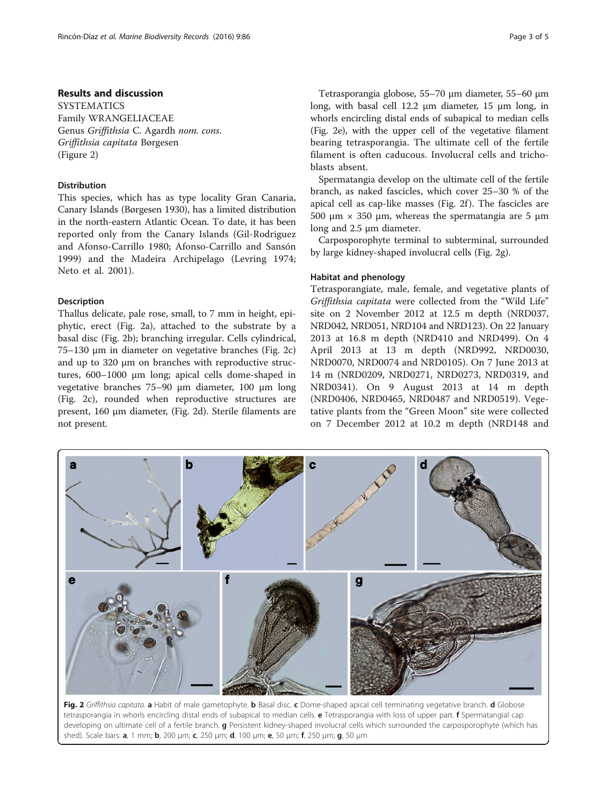## <span id="page-2-0"></span>Results and discussion

**SYSTEMATICS** Family WRANGELIACEAE Genus Griffithsia C. Agardh nom. cons. Griffithsia capitata Børgesen (Figure 2)

## Distribution

This species, which has as type locality Gran Canaria, Canary Islands (Børgesen [1930\)](#page-4-0), has a limited distribution in the north-eastern Atlantic Ocean. To date, it has been reported only from the Canary Islands (Gil-Rodriguez and Afonso-Carrillo [1980;](#page-4-0) Afonso-Carrillo and Sansón [1999\)](#page-4-0) and the Madeira Archipelago (Levring [1974](#page-4-0); Neto et al. [2001](#page-4-0)).

## Description

Thallus delicate, pale rose, small, to 7 mm in height, epiphytic, erect (Fig. 2a), attached to the substrate by a basal disc (Fig. 2b); branching irregular. Cells cylindrical, 75–130 μm in diameter on vegetative branches (Fig. 2c) and up to 320 μm on branches with reproductive structures, 600–1000 μm long; apical cells dome-shaped in vegetative branches 75–90 μm diameter, 100 μm long (Fig. 2c), rounded when reproductive structures are present, 160 μm diameter, (Fig. 2d). Sterile filaments are not present.

Tetrasporangia globose, 55–70 μm diameter, 55–60 μm long, with basal cell 12.2 μm diameter, 15 μm long, in whorls encircling distal ends of subapical to median cells (Fig. 2e), with the upper cell of the vegetative filament bearing tetrasporangia. The ultimate cell of the fertile filament is often caducous. Involucral cells and trichoblasts absent.

Spermatangia develop on the ultimate cell of the fertile branch, as naked fascicles, which cover 25–30 % of the apical cell as cap-like masses (Fig. 2f ). The fascicles are 500 μm  $\times$  350 μm, whereas the spermatangia are 5 μm long and 2.5 μm diameter.

Carposporophyte terminal to subterminal, surrounded by large kidney-shaped involucral cells (Fig. 2g).

### Habitat and phenology

Tetrasporangiate, male, female, and vegetative plants of Griffithsia capitata were collected from the "Wild Life" site on 2 November 2012 at 12.5 m depth (NRD037, NRD042, NRD051, NRD104 and NRD123). On 22 January 2013 at 16.8 m depth (NRD410 and NRD499). On 4 April 2013 at 13 m depth (NRD992, NRD0030, NRD0070, NRD0074 and NRD0105). On 7 June 2013 at 14 m (NRD0209, NRD0271, NRD0273, NRD0319, and NRD0341). On 9 August 2013 at 14 m depth (NRD0406, NRD0465, NRD0487 and NRD0519). Vegetative plants from the "Green Moon" site were collected on 7 December 2012 at 10.2 m depth (NRD148 and



Fig. 2 Griffithsia capitata. a Habit of male gametophyte. b Basal disc. c Dome-shaped apical cell terminating vegetative branch. d Globose tetrasporangia in whorls encircling distal ends of subapical to median cells. **e** Tetrasporangia with loss of upper part. **f** Spermatangial cap developing on ultimate cell of a fertile branch. g Persistent kidney-shaped involucral cells which surrounded the carposporophyte (which has shed). Scale bars: **a**, 1 mm; **b**, 200 μm; **c**, 250 μm; **d**, 100 μm; **e**, 50 μm; **f**, 250 μm; **q**, 50 μm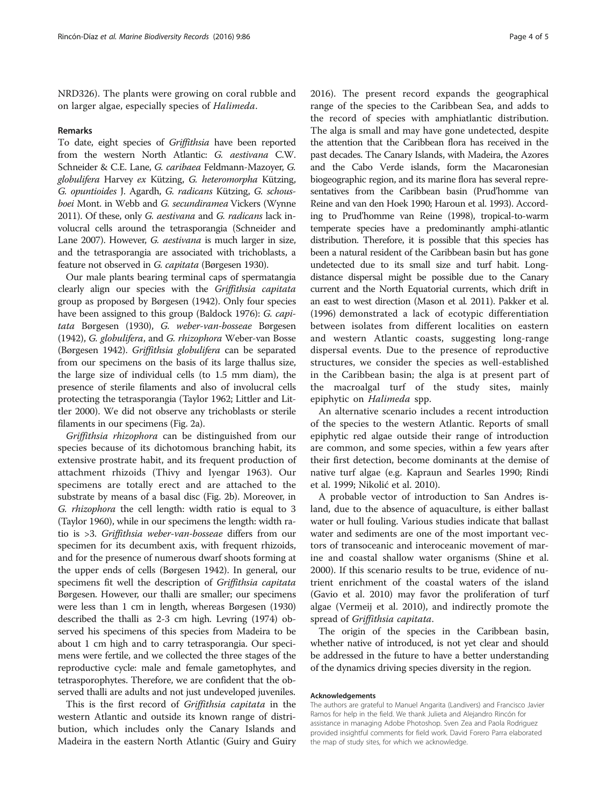NRD326). The plants were growing on coral rubble and on larger algae, especially species of Halimeda.

#### Remarks

To date, eight species of Griffithsia have been reported from the western North Atlantic: G. aestivana C.W. Schneider & C.E. Lane, G. caribaea Feldmann-Mazoyer, G. globulifera Harvey ex Kützing, G. heteromorpha Kützing, G. opuntioides J. Agardh, G. radicans Kützing, G. schousboei Mont. in Webb and G. secundiramea Vickers (Wynne [2011\)](#page-4-0). Of these, only G. aestivana and G. radicans lack involucral cells around the tetrasporangia (Schneider and Lane [2007\)](#page-4-0). However, G. aestivana is much larger in size, and the tetrasporangia are associated with trichoblasts, a feature not observed in G. capitata (Børgesen [1930\)](#page-4-0).

Our male plants bearing terminal caps of spermatangia clearly align our species with the Griffithsia capitata group as proposed by Børgesen ([1942\)](#page-4-0). Only four species have been assigned to this group (Baldock [1976\)](#page-4-0): G. capitata Børgesen [\(1930\)](#page-4-0), G. weber-van-bosseae Børgesen ([1942](#page-4-0)), G. globulifera, and G. rhizophora Weber-van Bosse (Børgesen [1942](#page-4-0)). Griffithsia globulifera can be separated from our specimens on the basis of its large thallus size, the large size of individual cells (to 1.5 mm diam), the presence of sterile filaments and also of involucral cells protecting the tetrasporangia (Taylor [1962](#page-4-0); Littler and Littler [2000](#page-4-0)). We did not observe any trichoblasts or sterile filaments in our specimens (Fig. [2a\)](#page-2-0).

Griffithsia rhizophora can be distinguished from our species because of its dichotomous branching habit, its extensive prostrate habit, and its frequent production of attachment rhizoids (Thivy and Iyengar [1963\)](#page-4-0). Our specimens are totally erect and are attached to the substrate by means of a basal disc (Fig. [2b](#page-2-0)). Moreover, in G. rhizophora the cell length: width ratio is equal to 3 (Taylor [1960\)](#page-4-0), while in our specimens the length: width ratio is >3. Griffithsia weber-van-bosseae differs from our specimen for its decumbent axis, with frequent rhizoids, and for the presence of numerous dwarf shoots forming at the upper ends of cells (Børgesen [1942\)](#page-4-0). In general, our specimens fit well the description of Griffithsia capitata Børgesen. However, our thalli are smaller; our specimens were less than 1 cm in length, whereas Børgesen [\(1930](#page-4-0)) described the thalli as 2-3 cm high. Levring [\(1974](#page-4-0)) observed his specimens of this species from Madeira to be about 1 cm high and to carry tetrasporangia. Our specimens were fertile, and we collected the three stages of the reproductive cycle: male and female gametophytes, and tetrasporophytes. Therefore, we are confident that the observed thalli are adults and not just undeveloped juveniles.

This is the first record of Griffithsia capitata in the western Atlantic and outside its known range of distribution, which includes only the Canary Islands and Madeira in the eastern North Atlantic (Guiry and Guiry

[2016](#page-4-0)). The present record expands the geographical range of the species to the Caribbean Sea, and adds to the record of species with amphiatlantic distribution. The alga is small and may have gone undetected, despite the attention that the Caribbean flora has received in the past decades. The Canary Islands, with Madeira, the Azores and the Cabo Verde islands, form the Macaronesian biogeographic region, and its marine flora has several representatives from the Caribbean basin (Prud'homme van Reine and van den Hoek [1990](#page-4-0); Haroun et al. [1993](#page-4-0)). According to Prud'homme van Reine ([1998](#page-4-0)), tropical-to-warm temperate species have a predominantly amphi-atlantic distribution. Therefore, it is possible that this species has been a natural resident of the Caribbean basin but has gone undetected due to its small size and turf habit. Longdistance dispersal might be possible due to the Canary current and the North Equatorial currents, which drift in an east to west direction (Mason et al. [2011\)](#page-4-0). Pakker et al. ([1996\)](#page-4-0) demonstrated a lack of ecotypic differentiation between isolates from different localities on eastern and western Atlantic coasts, suggesting long-range dispersal events. Due to the presence of reproductive structures, we consider the species as well-established in the Caribbean basin; the alga is at present part of the macroalgal turf of the study sites, mainly epiphytic on Halimeda spp.

An alternative scenario includes a recent introduction of the species to the western Atlantic. Reports of small epiphytic red algae outside their range of introduction are common, and some species, within a few years after their first detection, become dominants at the demise of native turf algae (e.g. Kapraun and Searles [1990](#page-4-0); Rindi et al. [1999;](#page-4-0) Nikolić et al. [2010\)](#page-4-0).

A probable vector of introduction to San Andres island, due to the absence of aquaculture, is either ballast water or hull fouling. Various studies indicate that ballast water and sediments are one of the most important vectors of transoceanic and interoceanic movement of marine and coastal shallow water organisms (Shine et al. [2000](#page-4-0)). If this scenario results to be true, evidence of nutrient enrichment of the coastal waters of the island (Gavio et al. [2010](#page-4-0)) may favor the proliferation of turf algae (Vermeij et al. [2010\)](#page-4-0), and indirectly promote the spread of Griffithsia capitata.

The origin of the species in the Caribbean basin, whether native of introduced, is not yet clear and should be addressed in the future to have a better understanding of the dynamics driving species diversity in the region.

#### Acknowledgements

The authors are grateful to Manuel Angarita (Landivers) and Francisco Javier Ramos for help in the field. We thank Julieta and Alejandro Rincón for assistance in managing Adobe Photoshop. Sven Zea and Paola Rodriguez provided insightful comments for field work. David Forero Parra elaborated the map of study sites, for which we acknowledge.